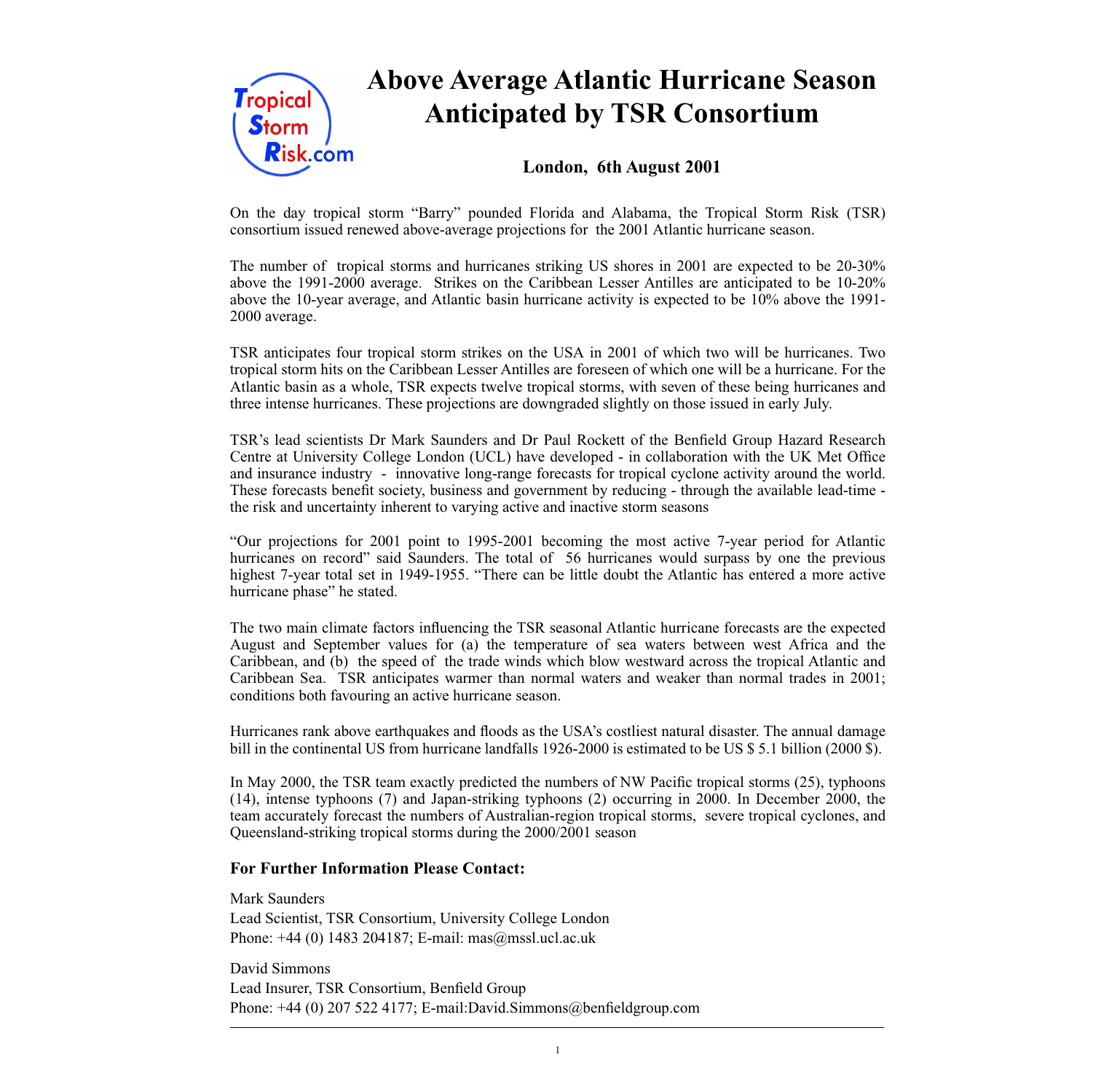

# **Above Average Atlantic Hurricane Season Anticipated by TSR Consortium**

# **London, 6th August 2001**

On the day tropical storm "Barry" pounded Florida and Alabama, the Tropical Storm Risk (TSR) consortium issued renewed above-average projections for the 2001 Atlantic hurricane season.

The number of tropical storms and hurricanes striking US shores in 2001 are expected to be 20-30% above the 1991-2000 average. Strikes on the Caribbean Lesser Antilles are anticipated to be 10-20% above the 10-year average, and Atlantic basin hurricane activity is expected to be 10% above the 1991- 2000 average.

TSR anticipates four tropical storm strikes on the USA in 2001 of which two will be hurricanes. Two tropical storm hits on the Caribbean Lesser Antilles are foreseen of which one will be a hurricane. For the Atlantic basin as a whole, TSR expects twelve tropical storms, with seven of these being hurricanes and three intense hurricanes. These projections are downgraded slightly on those issued in early July.

TSR's lead scientists Dr Mark Saunders and Dr Paul Rockett of the Benfield Group Hazard Research Centre at University College London (UCL) have developed - in collaboration with the UK Met Office and insurance industry - innovative long-range forecasts for tropical cyclone activity around the world. These forecasts benefit society, business and government by reducing - through the available lead-time the risk and uncertainty inherent to varying active and inactive storm seasons

"Our projections for 2001 point to 1995-2001 becoming the most active 7-year period for Atlantic hurricanes on record" said Saunders. The total of 56 hurricanes would surpass by one the previous highest 7-year total set in 1949-1955. "There can be little doubt the Atlantic has entered a more active hurricane phase" he stated.

The two main climate factors influencing the TSR seasonal Atlantic hurricane forecasts are the expected August and September values for (a) the temperature of sea waters between west Africa and the Caribbean, and (b) the speed of the trade winds which blow westward across the tropical Atlantic and Caribbean Sea. TSR anticipates warmer than normal waters and weaker than normal trades in 2001; conditions both favouring an active hurricane season.

Hurricanes rank above earthquakes and floods as the USA's costliest natural disaster. The annual damage bill in the continental US from hurricane landfalls 1926-2000 is estimated to be US \$ 5.1 billion (2000 \$).

In May 2000, the TSR team exactly predicted the numbers of NW Pacific tropical storms (25), typhoons (14), intense typhoons (7) and Japan-striking typhoons (2) occurring in 2000. In December 2000, the team accurately forecast the numbers of Australian-region tropical storms, severe tropical cyclones, and Queensland-striking tropical storms during the 2000/2001 season

### **For Further Information Please Contact:**

Mark Saunders Lead Scientist, TSR Consortium, University College London Phone: +44 (0) 1483 204187; E-mail: mas@mssl.ucl.ac.uk

David Simmons Lead Insurer, TSR Consortium, Benfield Group Phone: +44 (0) 207 522 4177; E-mail:David.Simmons@benfieldgroup.com